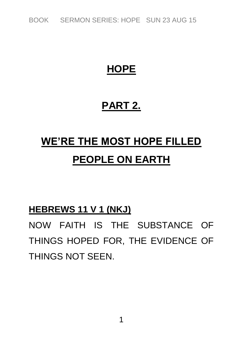*BOOK SERMON SERIES: HOPE SUN 23 AUG 15*

## **HOPE**

## **PART 2.**

# **WE'RE THE MOST HOPE FILLED PEOPLE ON EARTH**

#### **HEBREWS 11 V 1 (NKJ)**

*NOW FAITH IS THE SUBSTANCE OF THINGS HOPED FOR, THE EVIDENCE OF THINGS NOT SEEN.*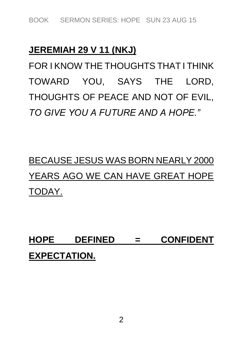### **JEREMIAH 29 V 11 (NKJ)**

*FOR I KNOW THE THOUGHTS THAT I THINK TOWARD YOU, SAYS THE LORD, THOUGHTS OF PEACE AND NOT OF EVIL, TO GIVE YOU A FUTURE AND A HOPE."*

# *BECAUSE JESUS WAS BORN NEARLY 2000 YEARS AGO WE CAN HAVE GREAT HOPE TODAY.*

**HOPE DEFINED = CONFIDENT EXPECTATION.**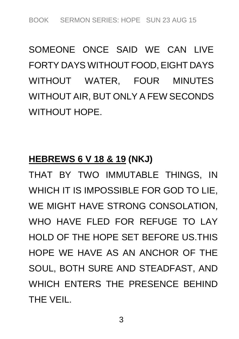*SOMEONE ONCE SAID WE CAN LIVE FORTY DAYS WITHOUT FOOD, EIGHT DAYS WITHOUT WATER, FOUR MINUTES WITHOUT AIR, BUT ONLY A FEW SECONDS WITHOUT HOPE.*

### **HEBREWS 6 V 18 & 19 (NKJ)**

*THAT BY TWO IMMUTABLE THINGS, IN WHICH IT IS IMPOSSIBLE FOR GOD TO LIE, WE MIGHT HAVE STRONG CONSOLATION, WHO HAVE FLED FOR REFUGE TO LAY HOLD OF THE HOPE SET BEFORE US.THIS HOPE WE HAVE AS AN ANCHOR OF THE SOUL, BOTH SURE AND STEADFAST, AND WHICH ENTERS THE PRESENCE BEHIND THE VEIL.*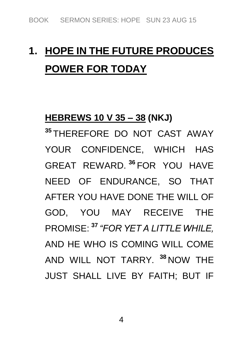# **1. HOPE IN THE FUTURE PRODUCES POWER FOR TODAY**

#### **HEBREWS 10 V 35 – 38 (NKJ)**

**<sup>35</sup>** *THEREFORE DO NOT CAST AWAY YOUR CONFIDENCE, WHICH HAS GREAT REWARD.* **<sup>36</sup>** *FOR YOU HAVE NEED OF ENDURANCE, SO THAT AFTER YOU HAVE DONE THE WILL OF GOD, YOU MAY RECEIVE THE PROMISE:* **<sup>37</sup>** *"FOR YET A LITTLE WHILE, AND HE WHO IS COMING WILL COME AND WILL NOT TARRY.* **<sup>38</sup>** *NOW THE JUST SHALL LIVE BY FAITH; BUT IF*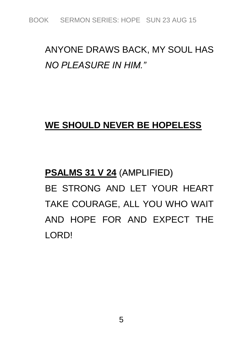## *ANYONE DRAWS BACK, MY SOUL HAS NO PLEASURE IN HIM."*

### **WE SHOULD NEVER BE HOPELESS**

# **PSALMS 31 V 24** *(AMPLIFIED) BE STRONG AND LET YOUR HEART TAKE COURAGE, ALL YOU WHO WAIT AND HOPE FOR AND EXPECT THE LORD!*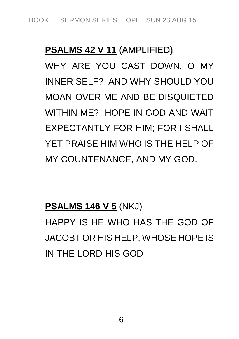#### **PSALMS 42 V 11** *(AMPLIFIED)*

*WHY ARE YOU CAST DOWN, O MY INNER SELF? AND WHY SHOULD YOU MOAN OVER ME AND BE DISQUIETED WITHIN ME? HOPE IN GOD AND WAIT EXPECTANTLY FOR HIM; FOR I SHALL YET PRAISE HIM WHO IS THE HELP OF MY COUNTENANCE, AND MY GOD.*

#### **PSALMS 146 V 5** *(NKJ)*

*HAPPY IS HE WHO HAS THE GOD OF JACOB FOR HIS HELP, WHOSE HOPE IS IN THE LORD HIS GOD*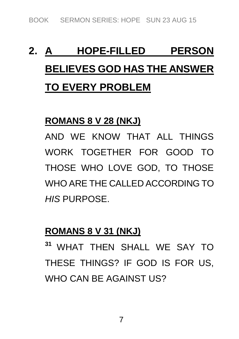# **2. A HOPE-FILLED PERSON BELIEVES GOD HAS THE ANSWER TO EVERY PROBLEM**

#### **ROMANS 8 V 28 (NKJ)**

*AND WE KNOW THAT ALL THINGS WORK TOGETHER FOR GOOD TO THOSE WHO LOVE GOD, TO THOSE WHO ARE THE CALLED ACCORDING TO HIS PURPOSE.*

#### **ROMANS 8 V 31 (NKJ)**

**<sup>31</sup>** *WHAT THEN SHALL WE SAY TO THESE THINGS? IF GOD IS FOR US, WHO CAN BE AGAINST US?*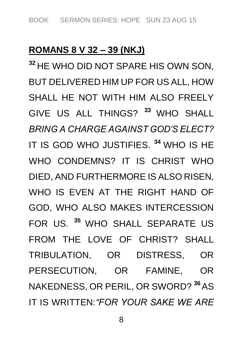#### **ROMANS 8 V 32 – 39 (NKJ)**

**<sup>32</sup>** *HE WHO DID NOT SPARE HIS OWN SON, BUT DELIVERED HIM UP FOR US ALL, HOW SHALL HE NOT WITH HIM ALSO FREELY GIVE US ALL THINGS?* **<sup>33</sup>** *WHO SHALL BRING A CHARGE AGAINST GOD'S ELECT? IT IS GOD WHO JUSTIFIES.* **<sup>34</sup>** *WHO IS HE WHO CONDEMNS? IT IS CHRIST WHO DIED, AND FURTHERMORE IS ALSO RISEN, WHO IS EVEN AT THE RIGHT HAND OF GOD, WHO ALSO MAKES INTERCESSION FOR US.* **<sup>35</sup>** *WHO SHALL SEPARATE US FROM THE LOVE OF CHRIST? SHALL TRIBULATION, OR DISTRESS, OR PERSECUTION, OR FAMINE, OR NAKEDNESS, OR PERIL, OR SWORD?* **<sup>36</sup>***AS IT IS WRITTEN:"FOR YOUR SAKE WE ARE*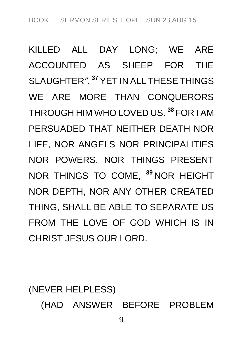*KILLED ALL DAY LONG; WE ARE ACCOUNTED AS SHEEP FOR THE SLAUGHTER".* **<sup>37</sup>** *YET IN ALL THESE THINGS WE ARE MORE THAN CONQUERORS THROUGH HIM WHO LOVED US.* **<sup>38</sup>** *FOR I AM PERSUADED THAT NEITHER DEATH NOR LIFE, NOR ANGELS NOR PRINCIPALITIES NOR POWERS, NOR THINGS PRESENT NOR THINGS TO COME,* **<sup>39</sup>** *NOR HEIGHT NOR DEPTH, NOR ANY OTHER CREATED THING, SHALL BE ABLE TO SEPARATE US*  FROM THE LOVE OF GOD WHICH IS IN *CHRIST JESUS OUR LORD.*

*(NEVER HELPLESS) (HAD ANSWER BEFORE PROBLEM*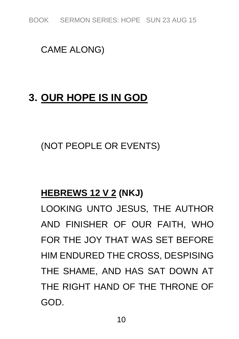*BOOK SERMON SERIES: HOPE SUN 23 AUG 15*

### *CAME ALONG)*

## **3. OUR HOPE IS IN GOD**

*(NOT PEOPLE OR EVENTS)*

### **HEBREWS 12 V 2 (NKJ)**

*LOOKING UNTO JESUS, THE AUTHOR AND FINISHER OF OUR FAITH, WHO FOR THE JOY THAT WAS SET BEFORE HIM ENDURED THE CROSS, DESPISING THE SHAME, AND HAS SAT DOWN AT THE RIGHT HAND OF THE THRONE OF GOD.*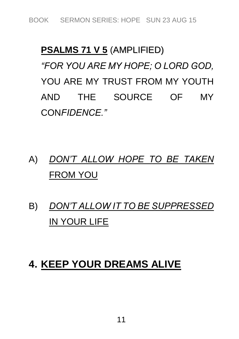# **PSALMS 71 V 5** *(AMPLIFIED) "FOR YOU ARE MY HOPE; O LORD GOD, YOU ARE MY TRUST FROM MY YOUTH AND THE SOURCE OF MY CONFIDENCE."*

## *A) DON'T ALLOW HOPE TO BE TAKEN FROM YOU*

*B) DON'T ALLOW IT TO BE SUPPRESSED IN YOUR LIFE*

## **4. KEEP YOUR DREAMS ALIVE**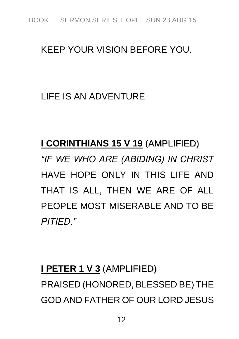#### *KEEP YOUR VISION BEFORE YOU.*

### *LIFE IS AN ADVENTURE*

# **I CORINTHIANS 15 V 19** *(AMPLIFIED) "IF WE WHO ARE (ABIDING) IN CHRIST HAVE HOPE ONLY IN THIS LIFE AND THAT IS ALL, THEN WE ARE OF ALL PEOPLE MOST MISERABLE AND TO BE PITIED."*

# **I PETER 1 V 3** *(AMPLIFIED) PRAISED (HONORED, BLESSED BE) THE GOD AND FATHER OF OUR LORD JESUS*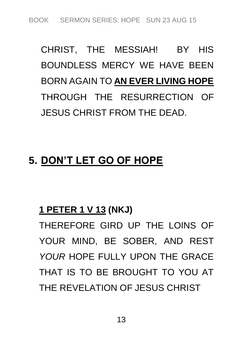*CHRIST, THE MESSIAH! BY HIS BOUNDLESS MERCY WE HAVE BEEN BORN AGAIN TO* **AN EVER LIVING HOPE** *THROUGH THE RESURRECTION OF JESUS CHRIST FROM THE DEAD.*

## **5. DON'T LET GO OF HOPE**

#### **1 PETER 1 V 13 (NKJ)**

*THEREFORE GIRD UP THE LOINS OF YOUR MIND, BE SOBER, AND REST YOUR HOPE FULLY UPON THE GRACE THAT IS TO BE BROUGHT TO YOU AT THE REVELATION OF JESUS CHRIST*